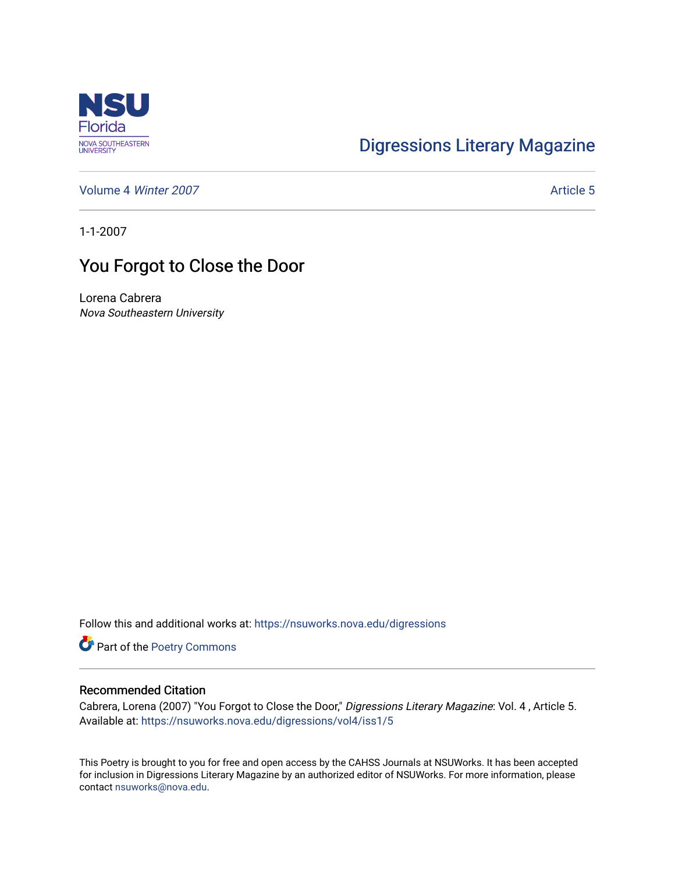

## [Digressions Literary Magazine](https://nsuworks.nova.edu/digressions)

[Volume 4](https://nsuworks.nova.edu/digressions/vol4) Winter 2007 **Article 5** Article 5

1-1-2007

## You Forgot to Close the Door

Lorena Cabrera Nova Southeastern University

Follow this and additional works at: [https://nsuworks.nova.edu/digressions](https://nsuworks.nova.edu/digressions?utm_source=nsuworks.nova.edu%2Fdigressions%2Fvol4%2Fiss1%2F5&utm_medium=PDF&utm_campaign=PDFCoverPages) 

Part of the [Poetry Commons](http://network.bepress.com/hgg/discipline/1153?utm_source=nsuworks.nova.edu%2Fdigressions%2Fvol4%2Fiss1%2F5&utm_medium=PDF&utm_campaign=PDFCoverPages) 

## Recommended Citation

Cabrera, Lorena (2007) "You Forgot to Close the Door," Digressions Literary Magazine: Vol. 4 , Article 5. Available at: [https://nsuworks.nova.edu/digressions/vol4/iss1/5](https://nsuworks.nova.edu/digressions/vol4/iss1/5?utm_source=nsuworks.nova.edu%2Fdigressions%2Fvol4%2Fiss1%2F5&utm_medium=PDF&utm_campaign=PDFCoverPages) 

This Poetry is brought to you for free and open access by the CAHSS Journals at NSUWorks. It has been accepted for inclusion in Digressions Literary Magazine by an authorized editor of NSUWorks. For more information, please contact [nsuworks@nova.edu.](mailto:nsuworks@nova.edu)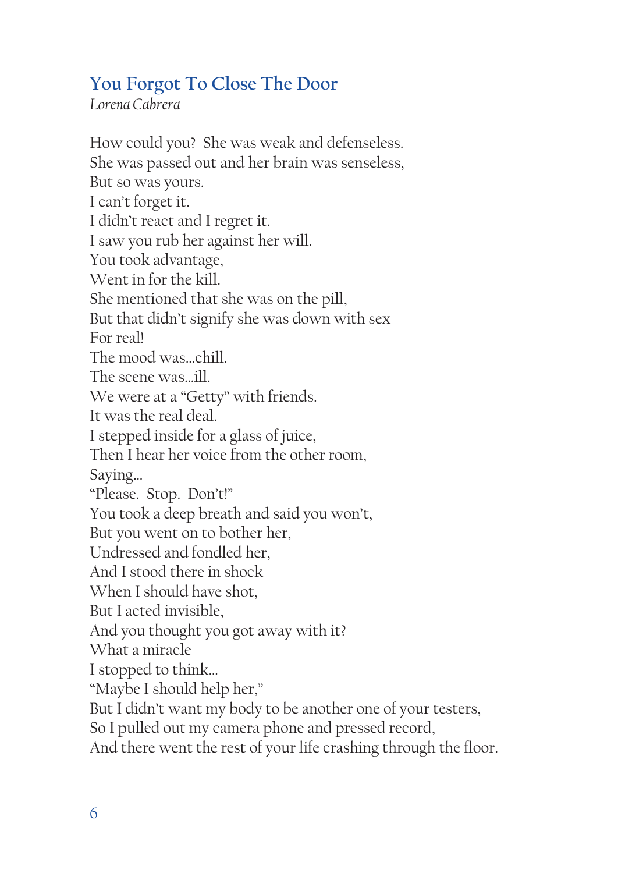## **You Forgot To Close The Door**

*Lorena Cabrera*

How could you? She was weak and defenseless. She was passed out and her brain was senseless, But so was yours. I can't forget it. I didn't react and I regret it. I saw you rub her against her will. You took advantage, Went in for the kill. She mentioned that she was on the pill, But that didn't signify she was down with sex For real! The mood was…chill. The scene was…ill. We were at a "Getty" with friends. It was the real deal. I stepped inside for a glass of juice, Then I hear her voice from the other room, Saying… "Please. Stop. Don't!" You took a deep breath and said you won't, But you went on to bother her, Undressed and fondled her, And I stood there in shock When I should have shot, But I acted invisible, And you thought you got away with it? What a miracle I stopped to think… "Maybe I should help her," But I didn't want my body to be another one of your testers, So I pulled out my camera phone and pressed record, And there went the rest of your life crashing through the floor.